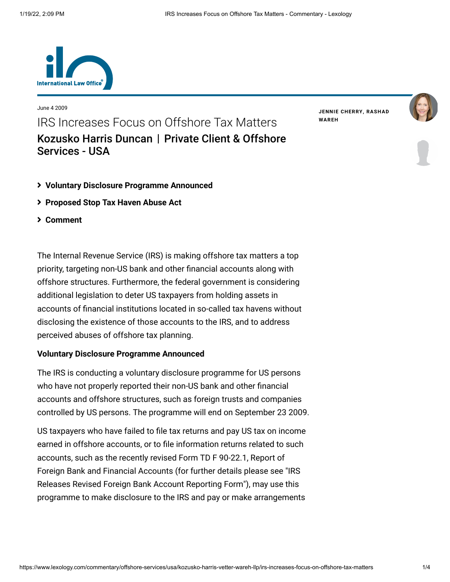

June 4 2009 IRS Increases Focus on Offshore Tax Matters [Kozusko Harris Duncan](https://www.lexology.com/contributors/23364) | Private Client & Offshore Services - USA

**JENNIE [CHERRY](https://www.lexology.com/23364/author/Jennie_Cherry/)[,](https://www.lexology.com/23364/author/Rashad_Wareh/) RASHAD WAREH**



## **[Voluntary Disclosure Programme Announced](#page-0-0)**

- **[Proposed Stop Tax Haven Abuse Act](#page-1-0)**
- **[Comment](#page-2-0)**

The Internal Revenue Service (IRS) is making offshore tax matters a top priority, targeting non-US bank and other financial accounts along with offshore structures. Furthermore, the federal government is considering additional legislation to deter US taxpayers from holding assets in accounts of financial institutions located in so-called tax havens without disclosing the existence of those accounts to the IRS, and to address perceived abuses of offshore tax planning.

## <span id="page-0-0"></span>**Voluntary Disclosure Programme Announced**

The IRS is conducting a voluntary disclosure programme for US persons who have not properly reported their non-US bank and other financial accounts and offshore structures, such as foreign trusts and companies controlled by US persons. The programme will end on September 23 2009.

US taxpayers who have failed to file tax returns and pay US tax on income earned in offshore accounts, or to file information returns related to such accounts, such as the recently revised Form TD F 90-22.1, Report of [Foreign Bank and Financial Accounts \(for further details please see "IRS](http://www.internationallawoffice.com/Newsletters/detail.aspx?g=f758dc86-955c-48c5-adf2-8b464b461a5d) Releases Revised Foreign Bank Account Reporting Form"), may use this programme to make disclosure to the IRS and pay or make arrangements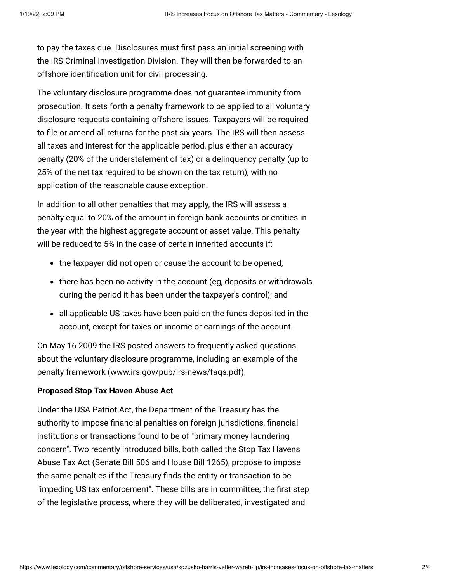to pay the taxes due. Disclosures must first pass an initial screening with the IRS Criminal Investigation Division. They will then be forwarded to an offshore identification unit for civil processing.

The voluntary disclosure programme does not guarantee immunity from prosecution. It sets forth a penalty framework to be applied to all voluntary disclosure requests containing offshore issues. Taxpayers will be required to file or amend all returns for the past six years. The IRS will then assess all taxes and interest for the applicable period, plus either an accuracy penalty (20% of the understatement of tax) or a delinquency penalty (up to 25% of the net tax required to be shown on the tax return), with no application of the reasonable cause exception.

In addition to all other penalties that may apply, the IRS will assess a penalty equal to 20% of the amount in foreign bank accounts or entities in the year with the highest aggregate account or asset value. This penalty will be reduced to 5% in the case of certain inherited accounts if:

- the taxpayer did not open or cause the account to be opened;
- there has been no activity in the account (eg, deposits or withdrawals during the period it has been under the taxpayer's control); and
- all applicable US taxes have been paid on the funds deposited in the account, except for taxes on income or earnings of the account.

On May 16 2009 the IRS posted answers to frequently asked questions about the voluntary disclosure programme, including an example of the penalty framework ([www.irs.gov/pub/irs-news/faqs.pdf](http://www.irs.gov/pub/irs-news/faqs.pdf)).

## <span id="page-1-0"></span>**Proposed Stop Tax Haven Abuse Act**

Under the USA Patriot Act, the Department of the Treasury has the authority to impose financial penalties on foreign jurisdictions, financial institutions or transactions found to be of "primary money laundering concern". Two recently introduced bills, both called the Stop Tax Havens Abuse Tax Act (Senate Bill 506 and House Bill 1265), propose to impose the same penalties if the Treasury finds the entity or transaction to be "impeding US tax enforcement". These bills are in committee, the first step of the legislative process, where they will be deliberated, investigated and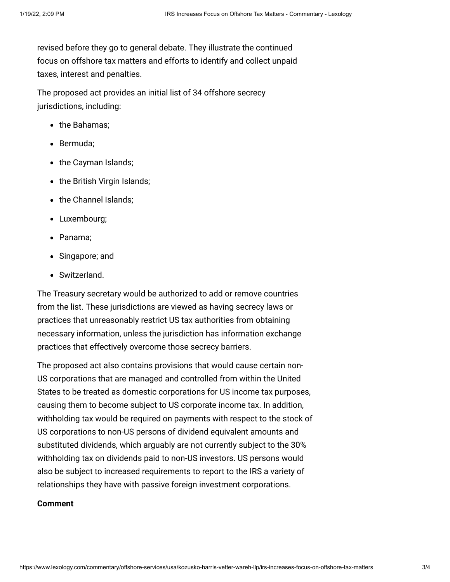revised before they go to general debate. They illustrate the continued focus on offshore tax matters and efforts to identify and collect unpaid taxes, interest and penalties.

The proposed act provides an initial list of 34 offshore secrecy jurisdictions, including:

- the Bahamas:
- Bermuda:
- the Cayman Islands;
- the British Virgin Islands;
- the Channel Islands:
- Luxembourg;
- Panama:
- Singapore; and
- Switzerland.

The Treasury secretary would be authorized to add or remove countries from the list. These jurisdictions are viewed as having secrecy laws or practices that unreasonably restrict US tax authorities from obtaining necessary information, unless the jurisdiction has information exchange practices that effectively overcome those secrecy barriers.

The proposed act also contains provisions that would cause certain non-US corporations that are managed and controlled from within the United States to be treated as domestic corporations for US income tax purposes, causing them to become subject to US corporate income tax. In addition, withholding tax would be required on payments with respect to the stock of US corporations to non-US persons of dividend equivalent amounts and substituted dividends, which arguably are not currently subject to the 30% withholding tax on dividends paid to non-US investors. US persons would also be subject to increased requirements to report to the IRS a variety of relationships they have with passive foreign investment corporations.

## <span id="page-2-0"></span>**Comment**